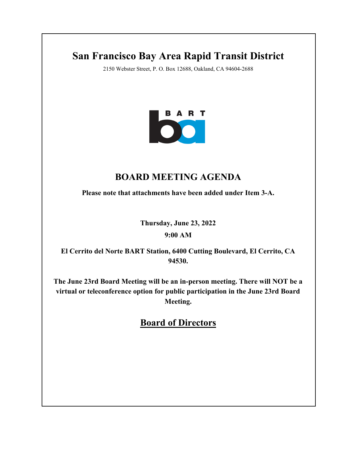# **San Francisco Bay Area Rapid Transit District**

2150 Webster Street, P. O. Box 12688, Oakland, CA 94604-2688



# **BOARD MEETING AGENDA**

**Please note that attachments have been added under Item 3-A.**

**Thursday, June 23, 2022**

**9:00 AM**

**El Cerrito del Norte BART Station, 6400 Cutting Boulevard, El Cerrito, CA 94530.**

**The June 23rd Board Meeting will be an in-person meeting. There will NOT be a virtual or teleconference option for public participation in the June 23rd Board Meeting.**

**Board of Directors**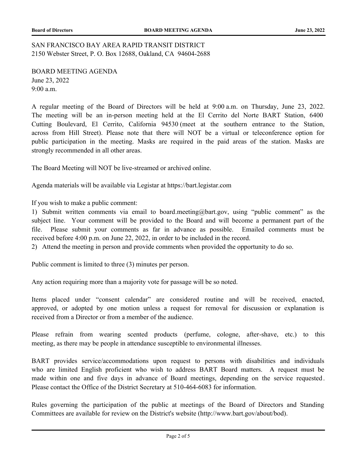SAN FRANCISCO BAY AREA RAPID TRANSIT DISTRICT 2150 Webster Street, P. O. Box 12688, Oakland, CA 94604-2688

BOARD MEETING AGENDA June 23, 2022 9:00 a.m.

A regular meeting of the Board of Directors will be held at 9:00 a.m. on Thursday, June 23, 2022. The meeting will be an in-person meeting held at the El Cerrito del Norte BART Station, 6400 Cutting Boulevard, El Cerrito, California 94530 (meet at the southern entrance to the Station, across from Hill Street). Please note that there will NOT be a virtual or teleconference option for public participation in the meeting. Masks are required in the paid areas of the station. Masks are strongly recommended in all other areas.

The Board Meeting will NOT be live-streamed or archived online.

Agenda materials will be available via Legistar at https://bart.legistar.com

If you wish to make a public comment:

1) Submit written comments via email to board.meeting@bart.gov, using "public comment" as the subject line. Your comment will be provided to the Board and will become a permanent part of the file. Please submit your comments as far in advance as possible. Emailed comments must be received before 4:00 p.m. on June 22, 2022, in order to be included in the record.

2) Attend the meeting in person and provide comments when provided the opportunity to do so.

Public comment is limited to three (3) minutes per person.

Any action requiring more than a majority vote for passage will be so noted.

Items placed under "consent calendar" are considered routine and will be received, enacted, approved, or adopted by one motion unless a request for removal for discussion or explanation is received from a Director or from a member of the audience.

Please refrain from wearing scented products (perfume, cologne, after-shave, etc.) to this meeting, as there may be people in attendance susceptible to environmental illnesses.

BART provides service/accommodations upon request to persons with disabilities and individuals who are limited English proficient who wish to address BART Board matters. A request must be made within one and five days in advance of Board meetings, depending on the service requested. Please contact the Office of the District Secretary at 510-464-6083 for information.

Rules governing the participation of the public at meetings of the Board of Directors and Standing Committees are available for review on the District's website (http://www.bart.gov/about/bod).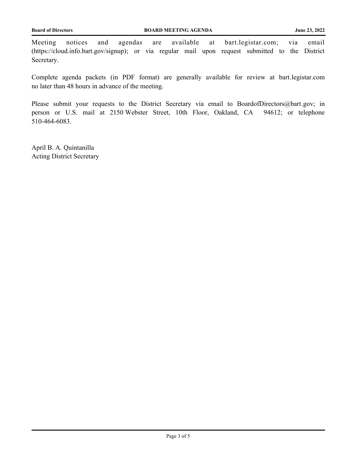Meeting notices and agendas are available at bart.legistar.com; via email (https://cloud.info.bart.gov/signup); or via regular mail upon request submitted to the District Secretary.

Complete agenda packets (in PDF format) are generally available for review at bart.legistar.com no later than 48 hours in advance of the meeting.

Please submit your requests to the District Secretary via email to BoardofDirectors@bart.gov; in person or U.S. mail at 2150 Webster Street, 10th Floor, Oakland, CA 94612; or telephone 510-464-6083.

April B. A. Quintanilla Acting District Secretary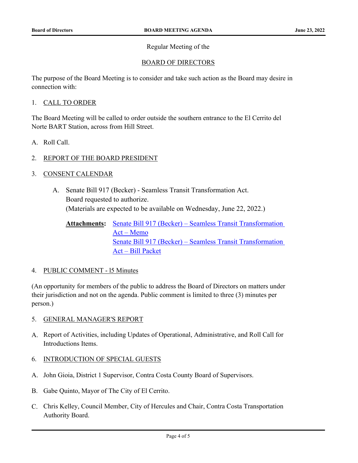### Regular Meeting of the

# BOARD OF DIRECTORS

The purpose of the Board Meeting is to consider and take such action as the Board may desire in connection with:

#### 1. CALL TO ORDER

The Board Meeting will be called to order outside the southern entrance to the El Cerrito del Norte BART Station, across from Hill Street.

- A. Roll Call.
- 2. REPORT OF THE BOARD PRESIDENT
- 3. CONSENT CALENDAR
	- A. Senate Bill 917 (Becker) Seamless Transit Transformation Act. Board requested to authorize. [\(Materials are expected to be available on Wednesday, June 22, 2022.\)](http://bart.legistar.com/gateway.aspx?m=l&id=/matter.aspx?key=2716)

```
Attachments: Senate Bill 917 (Becker) – Seamless Transit Transformation
   Act – Memo
   Senate Bill 917 (Becker) – Seamless Transit Transformation 
   Act – Bill Packet
```
#### 4. PUBLIC COMMENT - l5 Minutes

(An opportunity for members of the public to address the Board of Directors on matters under their jurisdiction and not on the agenda. Public comment is limited to three (3) minutes per person.)

- 5. GENERAL MANAGER'S REPORT
- A. Report of Activities, including Updates of Operational, Administrative, and Roll Call for Introductions Items.
- 6. INTRODUCTION OF SPECIAL GUESTS
- A. John Gioia, District 1 Supervisor, Contra Costa County Board of Supervisors.
- B. Gabe Quinto, Mayor of The City of El Cerrito.
- C. Chris Kelley, Council Member, City of Hercules and Chair, Contra Costa Transportation Authority Board.